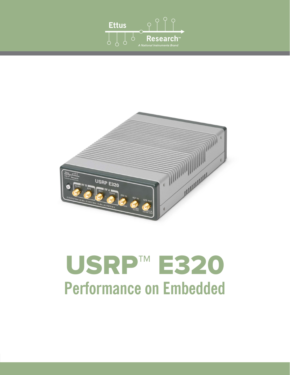



# USRP™ E320 **Performance on Embedded**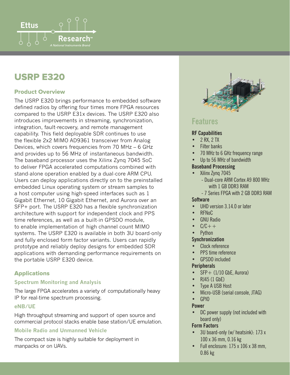

## USRP E320

#### Product Overview

The USRP E320 brings performance to embedded software defined radios by offering four times more FPGA resources compared to the USRP E31x devices. The USRP E320 also introduces improvements in streaming, synchronization, integration, fault-recovery, and remote management capability. This field deployable SDR continues to use the flexible 2x2 MIMO AD9361 transceiver from Analog Devices, which covers frequencies from 70 MHz – 6 GHz and provides up to 56 MHz of instantaneous bandwidth. The baseband processor uses the Xilinx Zynq 7045 SoC to deliver FPGA accelerated computations combined with stand-alone operation enabled by a dual-core ARM CPU. Users can deploy applications directly on to the preinstalled embedded Linux operating system or stream samples to a host computer using high-speed interfaces such as 1 Gigabit Ethernet, 10 Gigabit Ethernet, and Aurora over an SFP+ port. The USRP E320 has a flexible synchronization architecture with support for independent clock and PPS time references, as well as a built-in GPSDO module, to enable implementation of high channel count MIMO systems. The USRP E320 is available in both 3U board-only and fully enclosed form factor variants. Users can rapidly prototype and reliably deploy designs for embedded SDR applications with demanding performance requirements on the portable USRP E320 device.

#### **Applications**

#### **Spectrum Monitoring and Analysis**

The large FPGA accelerates a variety of computationally heavy IP for real-time spectrum processing.

#### **eNB/UE**

High throughput streaming and support of open source and commercial protocol stacks enable base station/UE emulation.

#### **Mobile Radio and Unmanned Vehicle**

The compact size is highly suitable for deployment in manpacks or on UAVs.



### **Features**

#### **RF Capabilities**

- 2 RX, 2 TX
- **Filter banks**
- 70 MHz to 6 GHz frequency range
- Up to 56 MHz of bandwidth

#### **Baseband Processing**

- Xilinx Zyng 7045 - Dual-core ARM Cortex A9 800 MHz with 1 GB DDR3 RAM
	- 7 Series FPGA with 2 GB DDR3 RAM

#### **Software**

- UHD version 3.14.0 or later
- RFNoC
- GNU Radio
- $C/C++$
- Python

#### **Synchronization**

- Clock reference
- PPS time reference
- GPSDO included

#### **Peripherals**

- $SFP+ (1/10$  GbE, Aurora)
- RJ45 (1 GbE)
- Type A USB Host
- Micro-USB (serial console, JTAG)
- GPIO

#### **Power**

DC power supply (not included with board only)

#### **Form Factors**

- 3U board-only (w/ heatsink): 173 x 100 x 36 mm, 0.16 kg
- Full enclosure: 175 x 106 x 38 mm, 0.86 kg